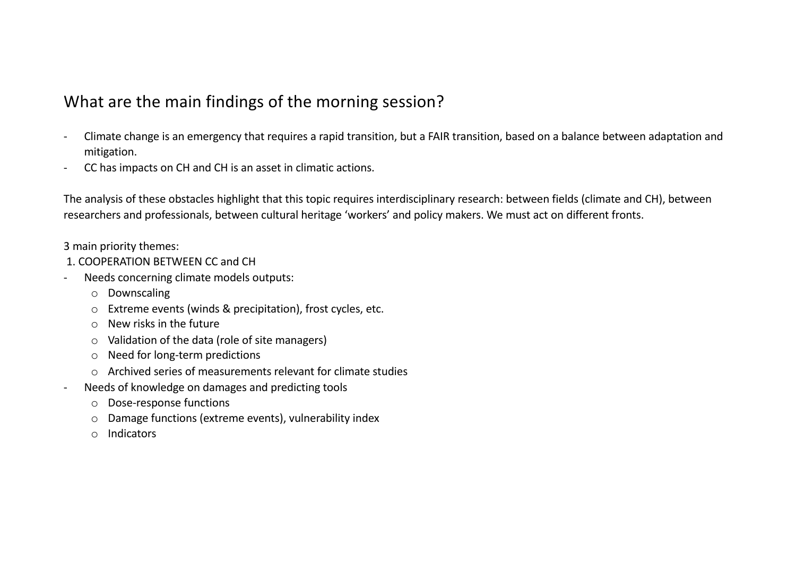## What are the main findings of the morning session?

- Climate change is an emergency that requires a rapid transition, but a FAIR transition, based on a balance between adaptation and mitigation.
- CC has impacts on CH and CH is an asset in climatic actions.

The analysis of these obstacles highlight that this topic requires interdisciplinary research: between fields (climate and CH), between researchers and professionals, between cultural heritage 'workers' and policy makers. We must act on different fronts.

3 main priority themes:

- 1. COOPERATION BETWEEN CC and CH
- Needs concerning climate models outputs:
	- o Downscaling
	- o Extreme events (winds & precipitation), frost cycles, etc.
	- $\circ$  New risks in the future
	- o Validation of the data (role of site managers)
	- o Need for long-term predictions
	- $\circ$  Archived series of measurements relevant for climate studies
- Needs of knowledge on damages and predicting tools
	- o Dose-response functions
	- o Damage functions (extreme events), vulnerability index
	- o Indicators